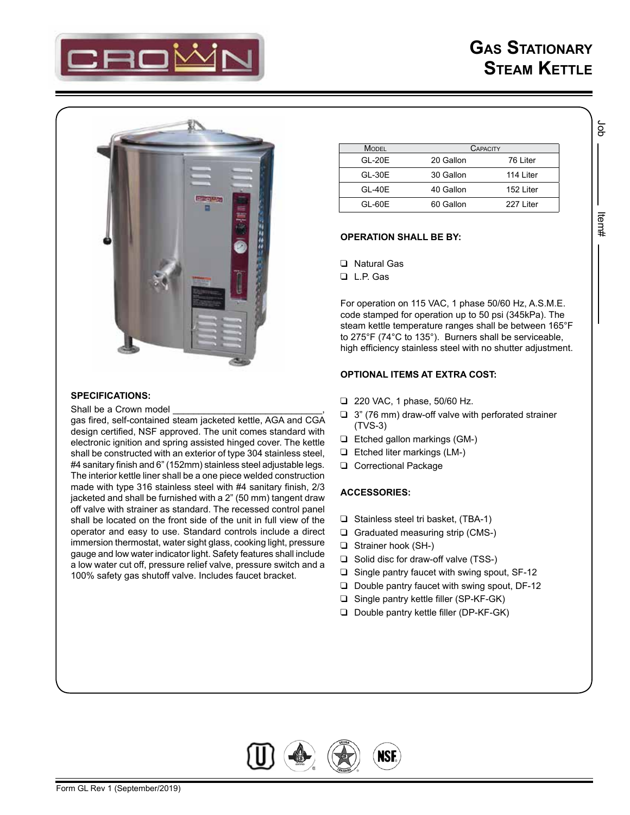

Job Item#

ltern#

ă



# **SPECIFICATIONS:**

Shall be a Crown model

gas fired, self-contained steam jacketed kettle, AGA and CGA design certified, NSF approved. The unit comes standard with electronic ignition and spring assisted hinged cover. The kettle shall be constructed with an exterior of type 304 stainless steel, #4 sanitary finish and 6" (152mm) stainless steel adjustable legs. The interior kettle liner shall be a one piece welded construction made with type 316 stainless steel with #4 sanitary finish, 2/3 jacketed and shall be furnished with a 2" (50 mm) tangent draw off valve with strainer as standard. The recessed control panel shall be located on the front side of the unit in full view of the operator and easy to use. Standard controls include a direct immersion thermostat, water sight glass, cooking light, pressure gauge and low water indicator light. Safety features shall include a low water cut off, pressure relief valve, pressure switch and a 100% safety gas shutoff valve. Includes faucet bracket.

| <b>MODEL</b> | CAPACITY  |           |
|--------------|-----------|-----------|
| $GL-20E$     | 20 Gallon | 76 Liter  |
| $GL-30E$     | 30 Gallon | 114 Liter |
| GL-40E       | 40 Gallon | 152 Liter |
| GL-60E       | 60 Gallon | 227 Liter |

### **OPERATION SHALL BE BY:**

- **Q** Natural Gas
- L.P. Gas

For operation on 115 VAC, 1 phase 50/60 Hz, A.S.M.E. code stamped for operation up to 50 psi (345kPa). The steam kettle temperature ranges shall be between 165°F to 275°F (74°C to 135°). Burners shall be serviceable, high efficiency stainless steel with no shutter adjustment.

#### **OPTIONAL ITEMS AT EXTRA COST:**

- 220 VAC, 1 phase, 50/60 Hz.
- $\Box$  3" (76 mm) draw-off valve with perforated strainer (TVS-3)
- Etched gallon markings (GM-)
- Etched liter markings (LM-)
- **Q** Correctional Package

## **ACCESSORIES:**

- $\Box$  Stainless steel tri basket, (TBA-1)
- Graduated measuring strip (CMS-)
- □ Strainer hook (SH-)
- $\Box$  Solid disc for draw-off valve (TSS-)
- $\square$  Single pantry faucet with swing spout, SF-12
- $\Box$  Double pantry faucet with swing spout, DF-12
- □ Single pantry kettle filler (SP-KF-GK)
- D Double pantry kettle filler (DP-KF-GK)